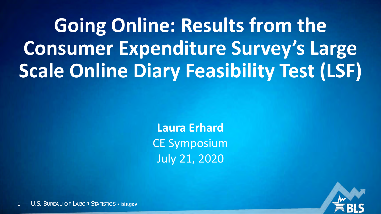**Going Online: Results from the Consumer Expenditure Survey's Large Scale Online Diary Feasibility Test (LSF)**

> **Laura Erhard** CE Symposium July 21, 2020

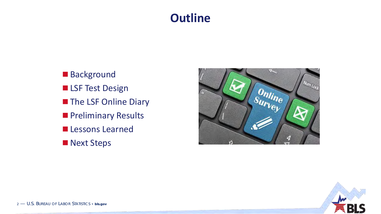### **Outline**

Background **LSF Test Design The LSF Online Diary Preliminary Results Lessons Learned Next Steps** 



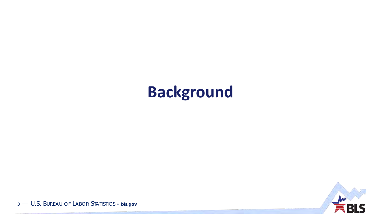## **Background**

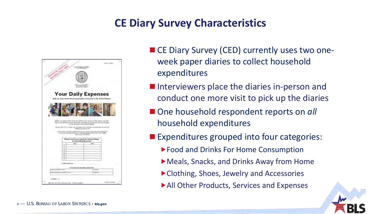### **CE Diary Survey Characteristics**



- CE Diary Survey (CED) currently uses two oneweek paper diaries to collect household expenditures
- **Interviewers place the diaries in-person and** conduct one more visit to pick up the diaries
- One household respondent reports on *all* household expenditures
- **Expenditures grouped into four categories:** 
	- Food and Drinks For Home Consumption
	- Meals, Snacks, and Drinks Away from Home
	- Clothing, Shoes, Jewelry and Accessories
	- All Other Products, Services and Expenses

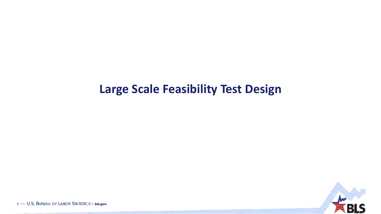### **Large Scale Feasibility Test Design**

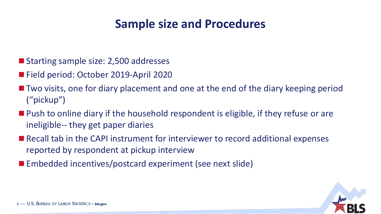### **Sample size and Procedures**

- Starting sample size: 2,500 addresses
- Field period: October 2019-April 2020
- Two visits, one for diary placement and one at the end of the diary keeping period ("pickup")
- **Push to online diary if the household respondent is eligible, if they refuse or are** ineligible-- they get paper diaries
- Recall tab in the CAPI instrument for interviewer to record additional expenses reported by respondent at pickup interview
- Embedded incentives/postcard experiment (see next slide)

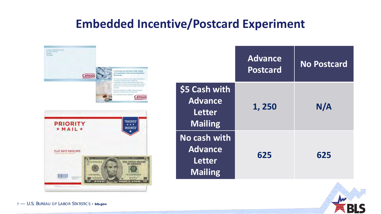### **Embedded Incentive/Postcard Experiment**



|                                                                    | <b>Advance</b><br><b>Postcard</b> | <b>No Postcard</b> |
|--------------------------------------------------------------------|-----------------------------------|--------------------|
| \$5 Cash with<br><b>Advance</b><br><b>Letter</b><br><b>Mailing</b> | 1,250                             | N/A                |
| No cash with<br><b>Advance</b><br><b>Letter</b><br><b>Mailing</b>  | 625                               | 625                |

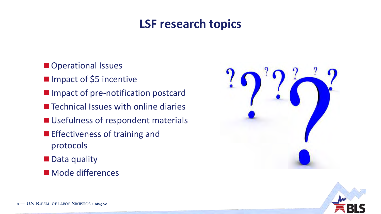### **LSF research topics**

- **Operational Issues**
- **Impact of \$5 incentive**
- **Impact of pre-notification postcard**
- Technical Issues with online diaries
- **Usefulness of respondent materials**
- **Effectiveness of training and** protocols
- **Data quality**
- **Mode differences**



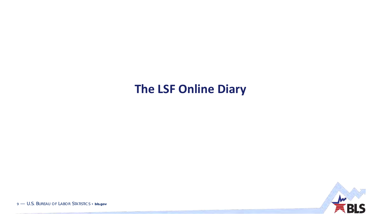### The LSF Online Diary

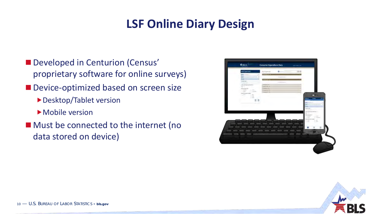### **LSF Online Diary Design**

- **Developed in Centurion (Census'** proprietary software for online surveys)
- Device-optimized based on screen size
	- Desktop/Tablet version
	- Mobile version
- Must be connected to the internet (no data stored on device)



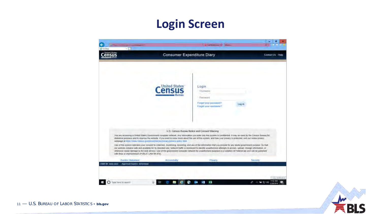### **Login Screen**

| <b>United States</b>                                                                                                                                                                                                                                                                                                                                                                                                                                                                                                                                                                                                                                                                                                                                                                                                                                                                                                                                                                            | <b>Consumer Expenditure Diary</b> |                                                                                           |                 | Contact Us Help |
|-------------------------------------------------------------------------------------------------------------------------------------------------------------------------------------------------------------------------------------------------------------------------------------------------------------------------------------------------------------------------------------------------------------------------------------------------------------------------------------------------------------------------------------------------------------------------------------------------------------------------------------------------------------------------------------------------------------------------------------------------------------------------------------------------------------------------------------------------------------------------------------------------------------------------------------------------------------------------------------------------|-----------------------------------|-------------------------------------------------------------------------------------------|-----------------|-----------------|
|                                                                                                                                                                                                                                                                                                                                                                                                                                                                                                                                                                                                                                                                                                                                                                                                                                                                                                                                                                                                 | <b>United States</b>              | Login<br><b>USCITECTIVE</b><br>Password<br>Fordof your password?<br>Fragot your username? | Log in          |                 |
|                                                                                                                                                                                                                                                                                                                                                                                                                                                                                                                                                                                                                                                                                                                                                                                                                                                                                                                                                                                                 |                                   | U.S. Census Bureau Notice and Consent Warning                                             |                 |                 |
| You are accessing a Unled States Government computer network. Any information you enter into this system is confidential. It may be used by the Census Bureau for<br>statistical purposes and to improve the website. If you want to know more about the use of this system, and how your privacy is protected, yield our onane privacy.<br>webpage at https://www.censor.gov/apos/poirces/brinacy/poi/acy-policy html.<br>Use of this system indicates your consent to collection, monitoring, recording, and use of the information that you provide for any lawful powernment purpose. So that<br>our website remains sale and available for its intended use, helwork traffic is motifored to identify unauthorized attempts to access, upload, change information, or<br>otherwise cause damage to the web service. Use of the government computer network for unauthorized purposes is a violation of Federal law and can be purested.<br>with fines or imprisonment (PUBLIC LAW 99-474). |                                   |                                                                                           |                 |                 |
| <b>Bluddo Statement</b>                                                                                                                                                                                                                                                                                                                                                                                                                                                                                                                                                                                                                                                                                                                                                                                                                                                                                                                                                                         | Accessibility                     | PYTMBETY                                                                                  | <b>Secribly</b> |                 |
| OMB NIL 10006-20000<br>Approvat Expires' loutotocock                                                                                                                                                                                                                                                                                                                                                                                                                                                                                                                                                                                                                                                                                                                                                                                                                                                                                                                                            |                                   |                                                                                           |                 |                 |

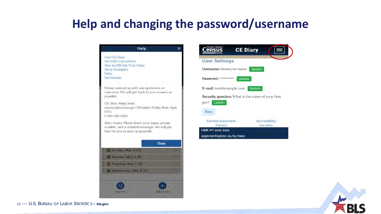### **Help and changing the password/username**





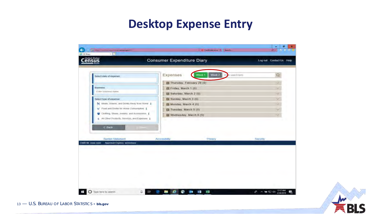### **Desktop Expense Entry**



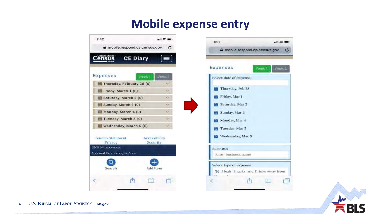### **Mobile expense entry**





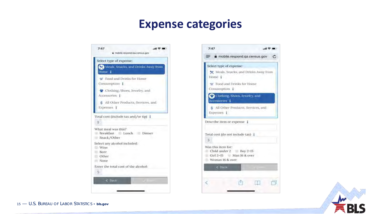### **Expense categories**





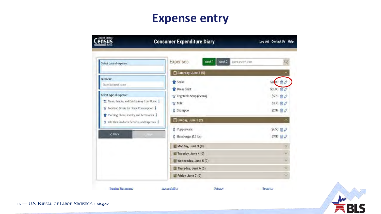### **Expense entry**

| Select date of expense:                                                                        | Week 2<br>Expenses<br>Week 1<br>Enter search term. | Q                       |
|------------------------------------------------------------------------------------------------|----------------------------------------------------|-------------------------|
|                                                                                                | Saturday, June 1 (5)                               | Λ                       |
| <b>Business:</b><br>Enter business hame                                                        | Socks                                              | $\vec{E}$<br>\$14,00    |
|                                                                                                | <b>C</b> Dress Shirt                               | \$31,00<br>$\mathbb{R}$ |
| Select type of expense:                                                                        | Wegetable Soup (2 cans)                            | \$5.70<br>$\mathbb{R}$  |
| X Meals, Snacks, and Drinks Away from Home 1                                                   | W Milk                                             | S3.75 同 <i>@</i>        |
| Food and Drinks for Home Consumption                                                           | Shampoo.<br>Š.                                     | S2.94 显                 |
| Clothing, Shoes, Jewelry, and Accessories  <br>\$ All Other Products, Services, and Expenses i | Sunday, June 2 (2)                                 | ۸                       |
|                                                                                                | Tupperware<br>Ŝ.                                   | \$4.50 亩 ♪              |
| < Back                                                                                         | S Hamburger (1.5 lbs)                              | \$7.95 亩 A              |
|                                                                                                | Monday, June 3 (0)                                 | v                       |
|                                                                                                | Tuesday, June 4 (0)                                | W                       |
|                                                                                                | Wednesday, June 5 (0)                              | w                       |
|                                                                                                | Thursday, June 6 (0)                               | ν                       |
|                                                                                                | Friday, June 7 (0)                                 | ×                       |

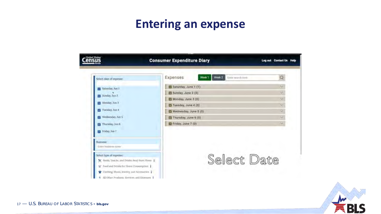### **Entering an expense**

| United States<br>ens                         | <b>Consumer Expenditure Diary</b>                             | Log out Contact Us Help |
|----------------------------------------------|---------------------------------------------------------------|-------------------------|
| Select date of expense:                      | Week 2<br>Expenses<br>Week <sub>1</sub><br>Eister search term | Q                       |
| Saturday, Aub 1                              | Saturday, June 1 (1)                                          | v                       |
| Sunday, Jun 2                                | Sunday, June 2 (0)                                            | v.                      |
|                                              | Monday, June 3 (0)                                            | ×.                      |
| Monday, Jun 3                                | Tuesday, June 4 (0)                                           | $\sim$                  |
| Tuesday, Jun 4                               | Wednesday, June 5 (0)                                         | u                       |
| Wednesday, Jun 5                             | I'll Thursday, June 6 (0)                                     | $\sim$                  |
| Thursday, Jun 6                              | E Friday, June 7 (0)                                          | ×                       |
| Friday, Jun 7                                |                                                               |                         |
| <b>Buniness:</b>                             |                                                               |                         |
| Enter husiness name                          |                                                               |                         |
| Select type of expense:                      |                                                               |                         |
| X Meals, Snacks, and Drinks Away from Home 1 | Select Date                                                   |                         |
| Food and Drinks for Home Consumption<br>W    |                                                               |                         |
| Clothing, Shoes, Jewelry, and Accessories    |                                                               |                         |
| All Other Products, Services, and Expenies   |                                                               |                         |

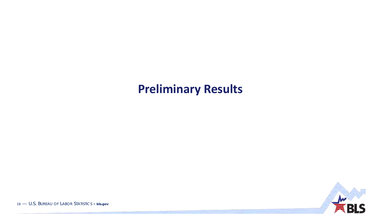### **Preliminary Results**

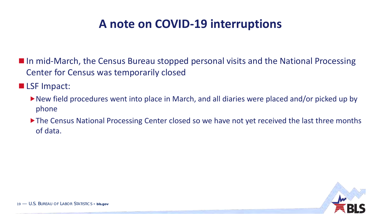### **A note on COVID-19 interruptions**

■ In mid-March, the Census Bureau stopped personal visits and the National Processing Center for Census was temporarily closed

**LSF** Impact:

- New field procedures went into place in March, and all diaries were placed and/or picked up by phone
- The Census National Processing Center closed so we have not yet received the last three months of data.

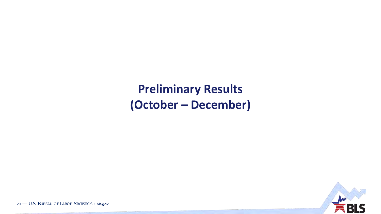### **Preliminary Results (October – December)**

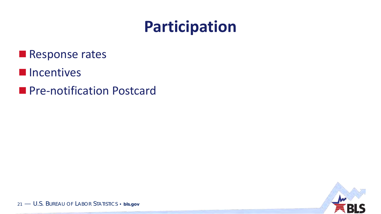# Participation

- Response rates
- **Incentives**
- Pre-notification Postcard

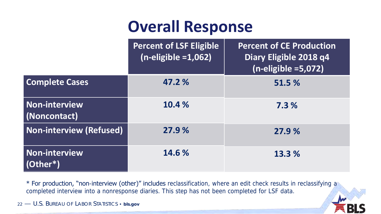# **Overall Response**

|                                      | <b>Percent of LSF Eligible</b><br>$(n$ -eligible = $1,062$ ) | <b>Percent of CE Production</b><br>Diary Eligible 2018 q4<br>$(n$ -eligible =5,072) |
|--------------------------------------|--------------------------------------------------------------|-------------------------------------------------------------------------------------|
| <b>Complete Cases</b>                | 47.2 %                                                       | 51.5 %                                                                              |
| <b>Non-interview</b><br>(Noncontact) | 10.4 %                                                       | 7.3%                                                                                |
| <b>Non-interview (Refused)</b>       | 27.9 %                                                       | 27.9%                                                                               |
| <b>Non-interview</b><br>$(Other*)$   | 14.6 %                                                       | 13.3 %                                                                              |

\* For production, "non-interview (other)" includes reclassification, where an edit check results in reclassifying a completed interview into a nonresponse diaries. This step has not been completed for LSF data.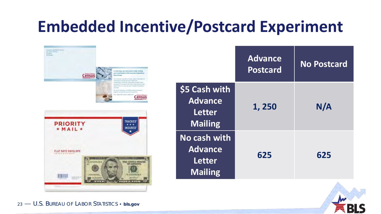# **Embedded Incentive/Postcard Experiment**

| The off Lancescape Sea<br>LLissa Dave<br>(51 Edgewy)<br><b>STRAKE</b> |                   |                                                                                                                                                                                                                                                                                                                                                                                                                                                                                                                                                                                         |
|-----------------------------------------------------------------------|-------------------|-----------------------------------------------------------------------------------------------------------------------------------------------------------------------------------------------------------------------------------------------------------------------------------------------------------------------------------------------------------------------------------------------------------------------------------------------------------------------------------------------------------------------------------------------------------------------------------------|
|                                                                       | census            | from how stays, you will income a belief investing.<br>gow to pertribute in the Cantalier Superations<br>Disty Survey.<br>He Limited HamPhill Artis (Night Homelond)<br>Lorentog Inchestra, princess in high cent.<br>Instrumention, decisioned Times ranks are said to belo.<br>pressured the functuated in this include is adopted and of the<br>Band of esk U.S.Addonny, and is clube; for holidated.<br>Detecting<br>be were relationser, and imperimental goal.<br>programma and pre-security and prices.<br>East inspection make a different in<br><b>Thrived States</b><br>ensus |
| <b>PRIORITY</b><br>$*$ MAIL $*$                                       |                   | <b>TRACKED</b> *<br><b>INSURED</b>                                                                                                                                                                                                                                                                                                                                                                                                                                                                                                                                                      |
| <b>FLAT RATE ENVELOPE</b><br>The SAND CAN START                       | PERMIT            | <b>BACH SOUTHS</b><br><b>TVH VVI</b>                                                                                                                                                                                                                                                                                                                                                                                                                                                                                                                                                    |
| <b>College</b>                                                        | FS22559428 A<br>Œ | <b>THE UNITED STATES</b><br><b>CONSUMERING</b><br>FE 22509428 4<br><b>SALINGUILE</b><br><b>SPEET EAGLE SERE</b>                                                                                                                                                                                                                                                                                                                                                                                                                                                                         |

|                                                                    | <b>Advance</b><br><b>Postcard</b> | <b>No Postcard</b> |
|--------------------------------------------------------------------|-----------------------------------|--------------------|
| \$5 Cash with<br><b>Advance</b><br><b>Letter</b><br><b>Mailing</b> | 1,250                             | N/A                |
| No cash with<br><b>Advance</b><br><b>Letter</b><br><b>Mailing</b>  | 625                               | 625                |

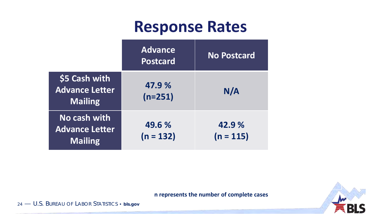### **Response Rates**

|                                                          | <b>Advance</b><br><b>Postcard</b> | <b>No Postcard</b>   |
|----------------------------------------------------------|-----------------------------------|----------------------|
| \$5 Cash with<br><b>Advance Letter</b><br><b>Mailing</b> | 47.9 %<br>$(n=251)$               | N/A                  |
| No cash with<br><b>Advance Letter</b><br><b>Mailing</b>  | 49.6 %<br>$(n = 132)$             | 42.9%<br>$(n = 115)$ |



**n represents the number of complete cases**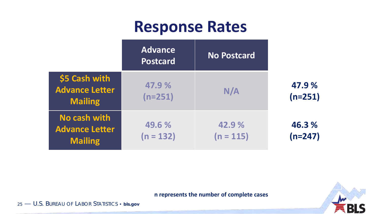### **Response Rates**

|                                                          | <b>Advance</b><br><b>Postcard</b> | <b>No Postcard</b>   |                     |
|----------------------------------------------------------|-----------------------------------|----------------------|---------------------|
| \$5 Cash with<br><b>Advance Letter</b><br><b>Mailing</b> | 47.9%<br>$(n=251)$                | N/A                  | 47.9 %<br>$(n=251)$ |
| No cash with<br><b>Advance Letter</b><br><b>Mailing</b>  | 49.6 %<br>$(n = 132)$             | 42.9%<br>$(n = 115)$ | 46.3 %<br>$(n=247)$ |



#### **n represents the number of complete cases**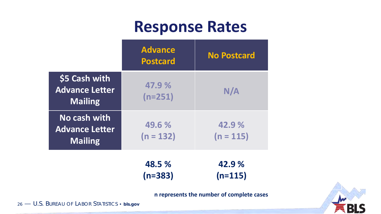### **Response Rates**

|                                                          | <b>Advance</b><br><b>Postcard</b> | <b>No Postcard</b>   |
|----------------------------------------------------------|-----------------------------------|----------------------|
| \$5 Cash with<br><b>Advance Letter</b><br><b>Mailing</b> | 47.9%<br>$(n=251)$                | N/A                  |
| No cash with<br><b>Advance Letter</b><br><b>Mailing</b>  | 49.6 %<br>$(n = 132)$             | 42.9%<br>$(n = 115)$ |

**48.5 % (n=383) 42.9 % (n=115)**

**n represents the number of complete cases**

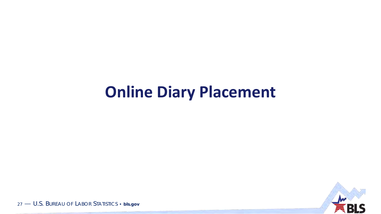## **Online Diary Placement**

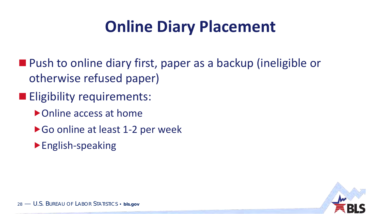# **Online Diary Placement**

- Push to online diary first, paper as a backup (ineligible or otherwise refused paper)
- **Eligibility requirements:** 
	- ▶ Online access at home
	- ▶ Go online at least 1-2 per week
	- English-speaking

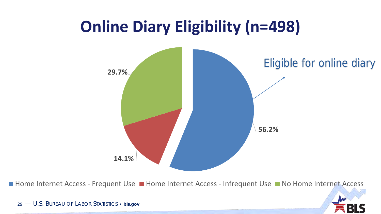## **Online Diary Eligibility (n=498)**



■ Home Internet Access - Frequent Use ■ Home Internet Access - Infrequent Use ■ No Home Internet Access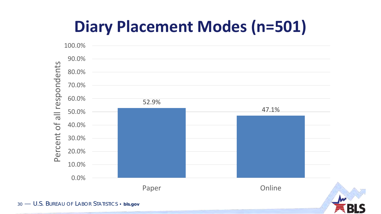# **Diary Placement Modes (n=501)**

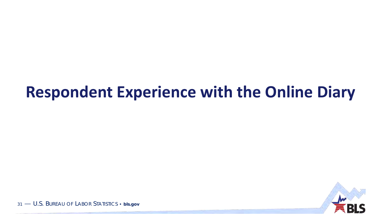## **Respondent Experience with the Online Diary**

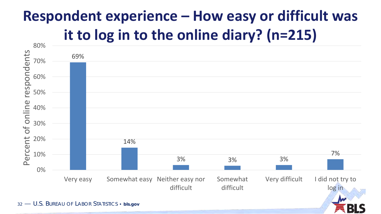## **Respondent experience – How easy or difficult was it to log in to the online diary? (n=215)**

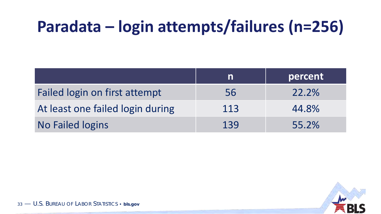# **Paradata – login attempts/failures (n=256)**

|                                  | IN  | percent |
|----------------------------------|-----|---------|
| Failed login on first attempt    | 56  | 22.2%   |
| At least one failed login during | 113 | 44.8%   |
| <b>No Failed logins</b>          | 139 | 55.2%   |

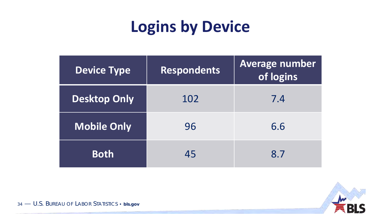# **Logins by Device**

| <b>Device Type</b>  | Respondents | <b>Average number</b><br>of logins |
|---------------------|-------------|------------------------------------|
| <b>Desktop Only</b> | 102         | 7.4                                |
| <b>Mobile Only</b>  | 96          | 6.6                                |
| <b>Both</b>         | 45          | 8.7                                |

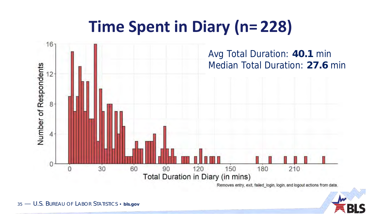# **Time Spent in Diary (n= 228)**



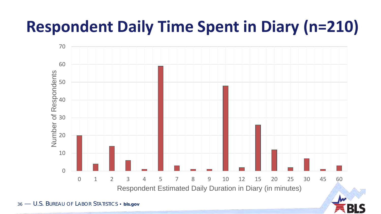# **Respondent Daily Time Spent in Diary (n=210)**

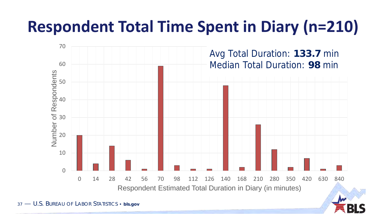# **Respondent Total Time Spent in Diary (n=210)**

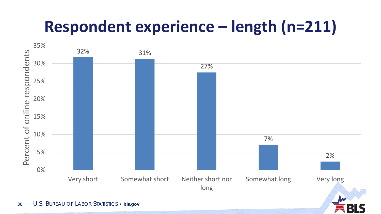# **Respondent experience – length (n=211)**

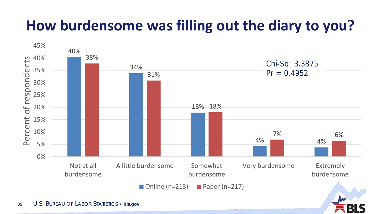## **How burdensome was filling out the diary to you?**

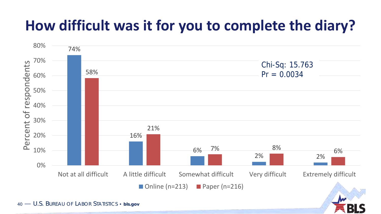## **How difficult was it for you to complete the diary?**

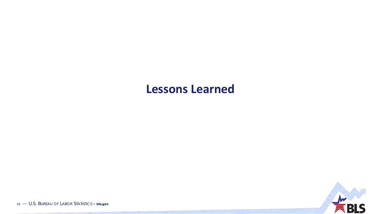### **Lessons Learned**

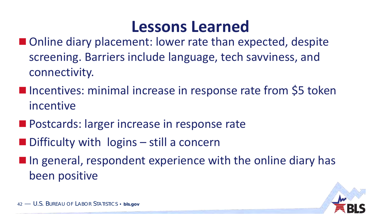### **Lessons Learned**

- Online diary placement: lower rate than expected, despite screening. Barriers include language, tech savviness, and connectivity.
- **Incentives: minimal increase in response rate from \$5 token** incentive
- **Postcards: larger increase in response rate**
- $\blacksquare$  Difficulty with logins still a concern
- **If** in general, respondent experience with the online diary has been positive

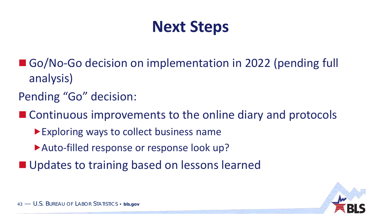# **Next Steps**

- Go/No-Go decision on implementation in 2022 (pending full analysis)
- Pending "Go" decision:

■ Continuous improvements to the online diary and protocols

- **Exploring ways to collect business name**
- Auto-filled response or response look up?
- Updates to training based on lessons learned